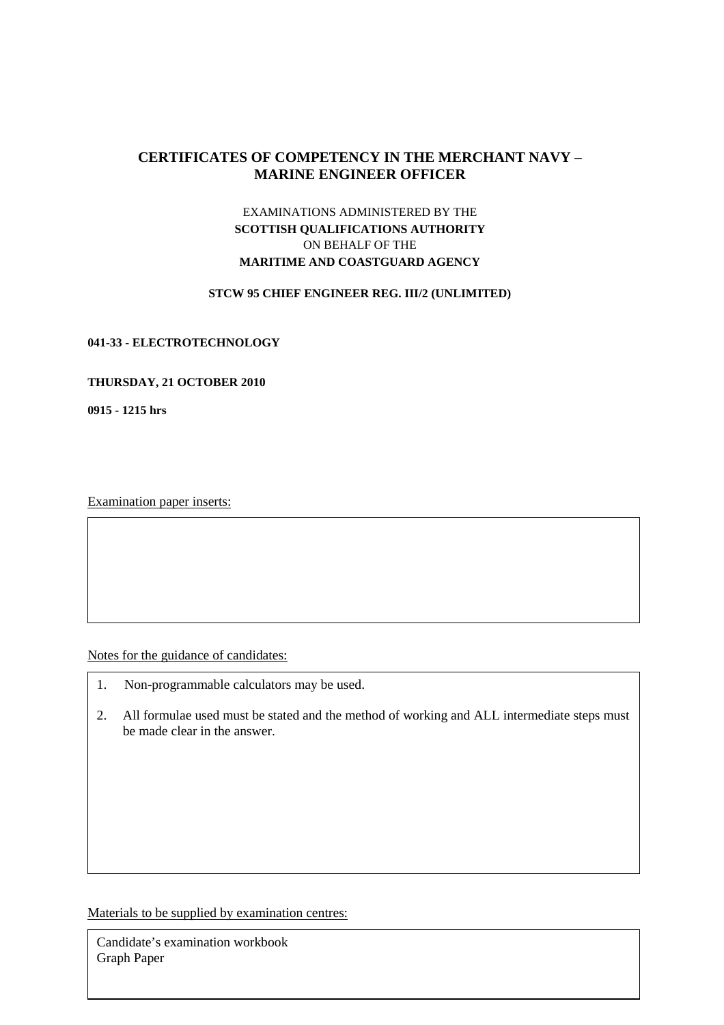# **CERTIFICATES OF COMPETENCY IN THE MERCHANT NAVY – MARINE ENGINEER OFFICER**

## EXAMINATIONS ADMINISTERED BY THE **SCOTTISH QUALIFICATIONS AUTHORITY**  ON BEHALF OF THE **MARITIME AND COASTGUARD AGENCY**

#### **STCW 95 CHIEF ENGINEER REG. III/2 (UNLIMITED)**

#### **041-33 - ELECTROTECHNOLOGY**

### **THURSDAY, 21 OCTOBER 2010**

**0915 - 1215 hrs** 

Examination paper inserts:

Notes for the guidance of candidates:

- 1. Non-programmable calculators may be used.
- 2. All formulae used must be stated and the method of working and ALL intermediate steps must be made clear in the answer.

Materials to be supplied by examination centres:

Candidate's examination workbook Graph Paper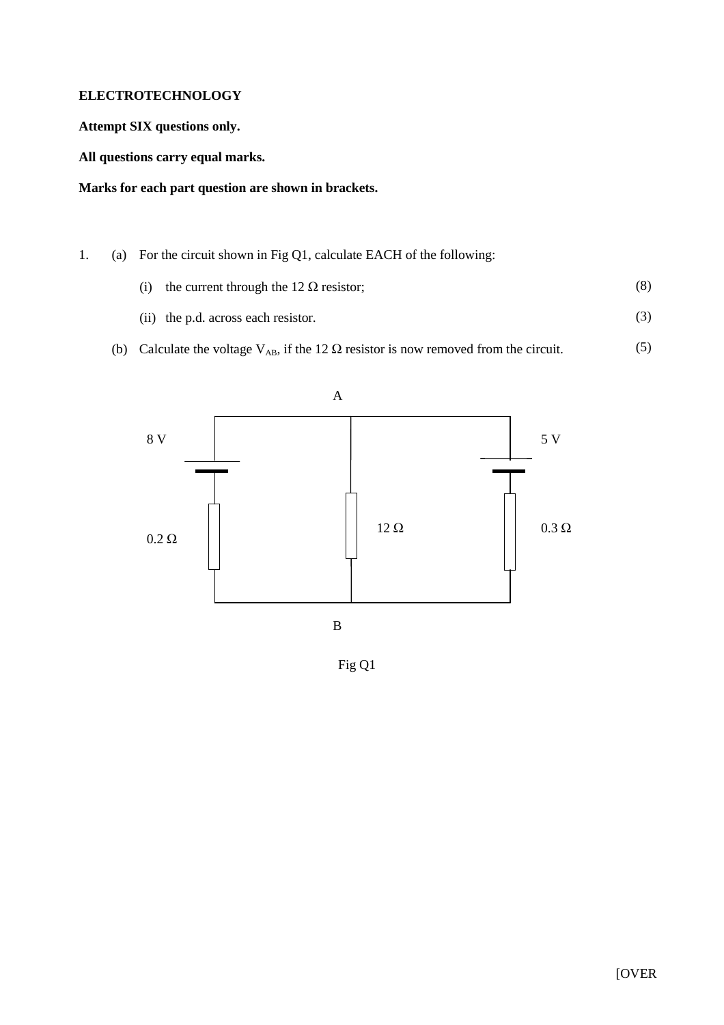### **ELECTROTECHNOLOGY**

**Attempt SIX questions only.** 

**All questions carry equal marks.** 

## **Marks for each part question are shown in brackets.**

- 1. (a) For the circuit shown in Fig Q1, calculate EACH of the following:
	- (i) the current through the 12  $\Omega$  resistor; (8)
	- (ii) the p.d. across each resistor. (3)
	- (b) Calculate the voltage  $V_{AB}$ , if the 12  $\Omega$  resistor is now removed from the circuit. (5)



Fig Q1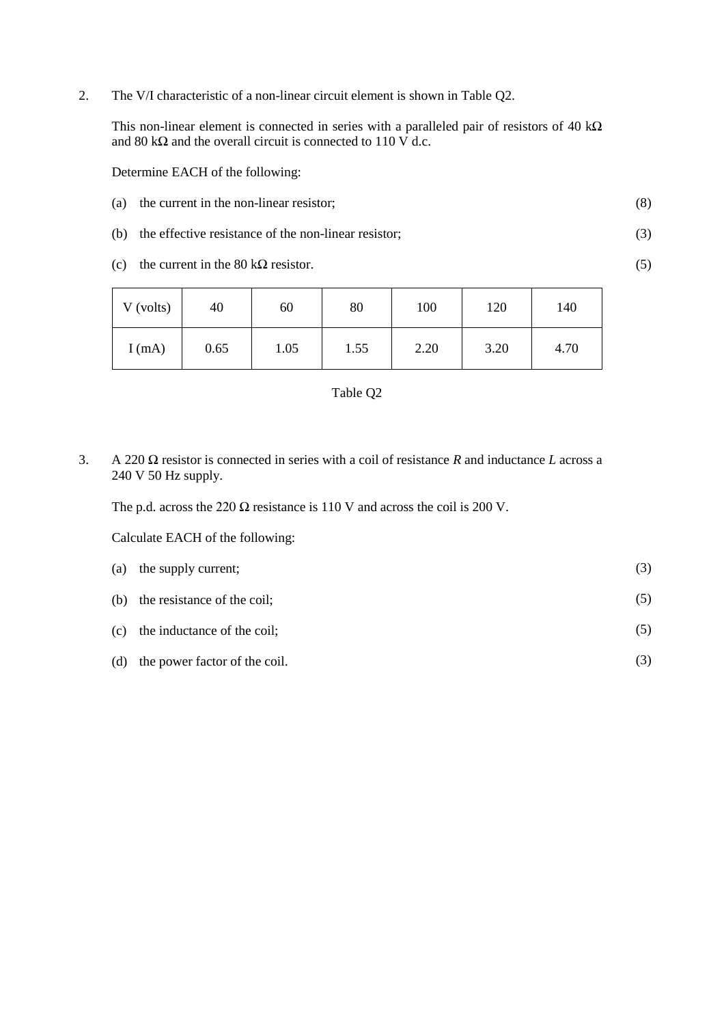2. The V/I characteristic of a non-linear circuit element is shown in Table Q2.

This non-linear element is connected in series with a paralleled pair of resistors of 40 k $\Omega$ and 80 k $\Omega$  and the overall circuit is connected to 110 V d.c.

Determine EACH of the following:

(a) the current in the non-linear resistor; (8)

(3)

(5)

- (b) the effective resistance of the non-linear resistor;
- (c) the current in the 80 k $\Omega$  resistor.

| V (volts) | 40   | 60   | 80   | 100  | 120  | 140  |
|-----------|------|------|------|------|------|------|
| I(mA)     | 0.65 | 1.05 | 1.55 | 2.20 | 3.20 | 4.70 |



3. A 220 Ω resistor is connected in series with a coil of resistance *R* and inductance *L* across a 240 V 50 Hz supply.

The p.d. across the 220  $\Omega$  resistance is 110 V and across the coil is 200 V.

Calculate EACH of the following:

|     | (a) the supply current;         | (3) |
|-----|---------------------------------|-----|
|     | (b) the resistance of the coil; | (5) |
|     | (c) the inductance of the coil; | (5) |
| (d) | the power factor of the coil.   |     |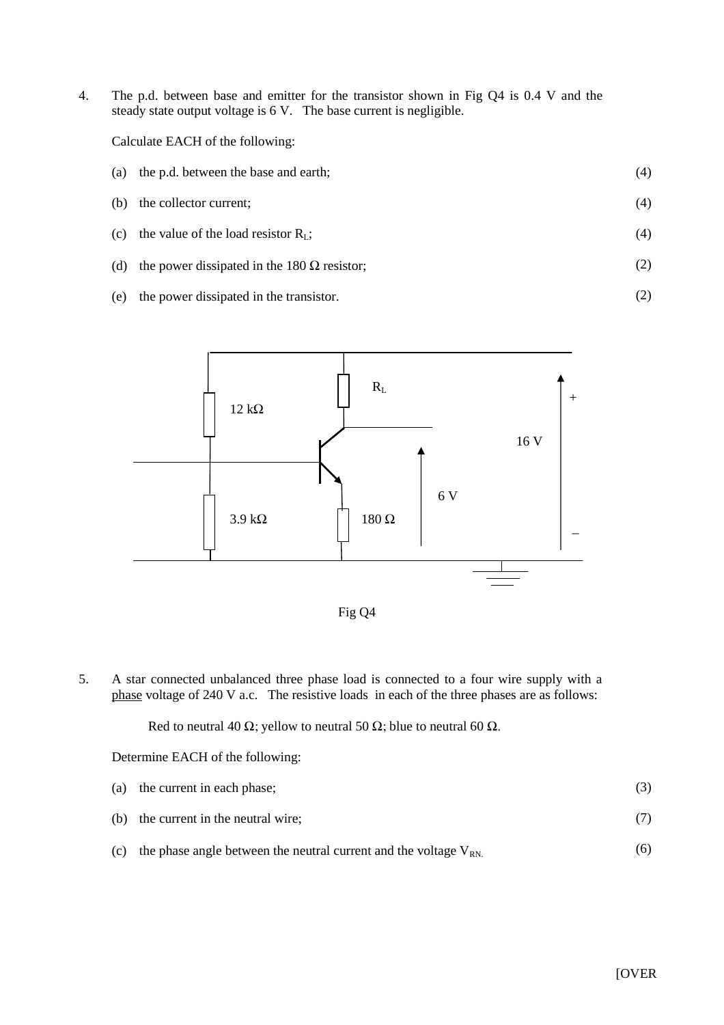4. The p.d. between base and emitter for the transistor shown in Fig Q4 is 0.4 V and the steady state output voltage is 6 V. The base current is negligible.

Calculate EACH of the following:

- (a) the p.d. between the base and earth; (4)
- (b) the collector current; (4)
- (c) the value of the load resistor  $R_L$ ; (4)
- (d) the power dissipated in the 180  $\Omega$  resistor; (2)
- (e) the power dissipated in the transistor.





5. A star connected unbalanced three phase load is connected to a four wire supply with a phase voltage of 240 V a.c. The resistive loads in each of the three phases are as follows:

Red to neutral 40  $\Omega$ ; yellow to neutral 50  $\Omega$ ; blue to neutral 60  $\Omega$ .

Determine EACH of the following:

- (a) the current in each phase; (b) the current in the neutral wire; (3) (7)
- (c) the phase angle between the neutral current and the voltage  $V_{RN}$ . (6)

(2)